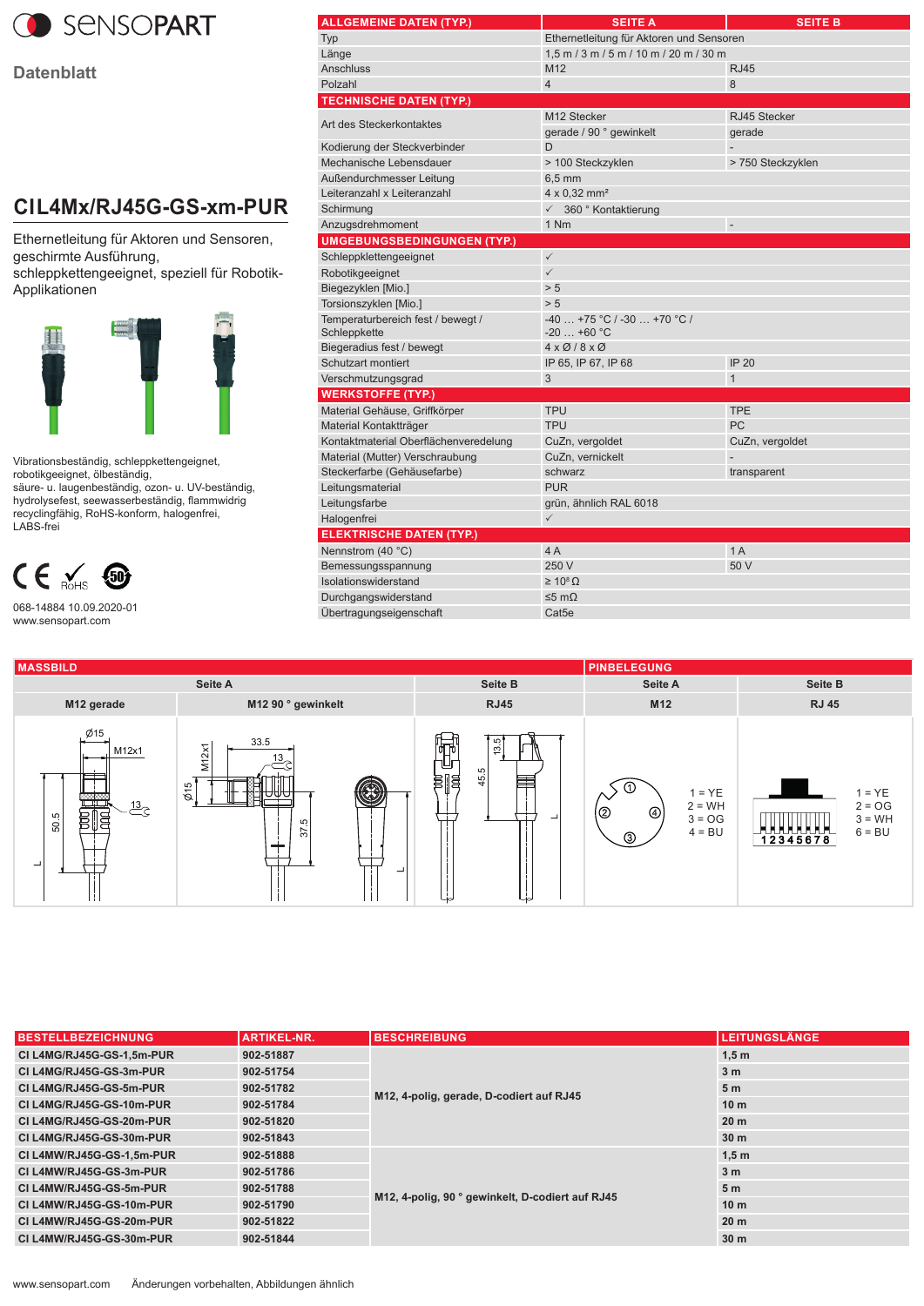

**Datenblatt**

## **CI L4Mx/RJ45G-GS-xm-PUR**

Ethernetleitung für Aktoren und Sensoren, geschirmte Ausführung,

schleppkettengeeignet, speziell für Robotik-Applikationen



Vibrationsbeständig, schleppkettengeignet, robotikgeeignet, ölbeständig,

säure- u. laugenbeständig, ozon- u. UV-beständig, hydrolysefest, seewasserbeständig, flammwidrig recyclingfähig, RoHS-konform, halogenfrei, LABS-frei



068-14884 10.09.2020-01 www.sensopart.com

| ALLGEMEINE DATEN (TYP.)                           | <b>SEITE A</b>                                     | <b>SEITE B</b>           |  |  |  |
|---------------------------------------------------|----------------------------------------------------|--------------------------|--|--|--|
| Typ                                               | Ethernetleitung für Aktoren und Sensoren           |                          |  |  |  |
| Länge                                             | $1.5$ m $/$ 3 m $/$ 5 m $/$ 10 m $/$ 20 m $/$ 30 m |                          |  |  |  |
| <b>Anschluss</b>                                  | M12                                                | <b>RJ45</b>              |  |  |  |
| Polzahl                                           | $\overline{4}$                                     | 8                        |  |  |  |
| <b>TECHNISCHE DATEN (TYP.)</b>                    |                                                    |                          |  |  |  |
| Art des Steckerkontaktes                          | M12 Stecker                                        | RJ45 Stecker             |  |  |  |
|                                                   | gerade / 90 ° gewinkelt                            | qerade                   |  |  |  |
| Kodierung der Steckverbinder                      | D                                                  |                          |  |  |  |
| Mechanische Lebensdauer                           | > 100 Steckzyklen                                  | > 750 Steckzyklen        |  |  |  |
| Außendurchmesser Leitung                          | $6,5 \text{ mm}$                                   |                          |  |  |  |
| Leiteranzahl x Leiteranzahl                       | $4 \times 0.32$ mm <sup>2</sup>                    |                          |  |  |  |
| Schirmung                                         | √ 360 ° Kontaktierung                              |                          |  |  |  |
| Anzugsdrehmoment                                  | 1 Nm                                               | $\overline{\phantom{a}}$ |  |  |  |
| <b>UMGEBUNGSBEDINGUNGEN (TYP.)</b>                |                                                    |                          |  |  |  |
| Schleppklettengeeignet                            | $\checkmark$                                       |                          |  |  |  |
| Robotikgeeignet                                   | $\checkmark$                                       |                          |  |  |  |
| Biegezyklen [Mio.]                                | > 5                                                |                          |  |  |  |
| Torsionszyklen [Mio.]                             | > 5                                                |                          |  |  |  |
| Temperaturbereich fest / bewegt /<br>Schleppkette | $-40+75$ °C / $-30+70$ °C /<br>$-20$ +60 °C        |                          |  |  |  |
| Biegeradius fest / bewegt                         | $4 \times 0$ /8 $\times$ 0                         |                          |  |  |  |
| Schutzart montiert                                | IP 65, IP 67, IP 68                                | <b>IP 20</b>             |  |  |  |
| Verschmutzungsgrad                                | 3                                                  | 1                        |  |  |  |
| <b>WERKSTOFFE (TYP.)</b>                          |                                                    |                          |  |  |  |
| Material Gehäuse, Griffkörper                     | <b>TPU</b>                                         | <b>TPE</b>               |  |  |  |
| Material Kontaktträger                            | <b>TPU</b>                                         | PC                       |  |  |  |
| Kontaktmaterial Oberflächenveredelung             | CuZn, vergoldet                                    | CuZn, vergoldet          |  |  |  |
| Material (Mutter) Verschraubung                   | CuZn, vernickelt                                   |                          |  |  |  |
| Steckerfarbe (Gehäusefarbe)                       | schwarz                                            | transparent              |  |  |  |
| Leitungsmaterial                                  | <b>PUR</b>                                         |                          |  |  |  |
| Leitungsfarbe                                     | grün, ähnlich RAL 6018                             |                          |  |  |  |
| Halogenfrei                                       | $\checkmark$                                       |                          |  |  |  |
| <b>ELEKTRISCHE DATEN (TYP.)</b>                   |                                                    |                          |  |  |  |
| Nennstrom (40 °C)                                 | 4A                                                 | 1A                       |  |  |  |
| Bemessungsspannung                                | 250 V                                              | 50 V                     |  |  |  |
| Isolationswiderstand                              | $\geq 10^8 \Omega$                                 |                          |  |  |  |
| Durchgangswiderstand                              | ≤5 mΩ                                              |                          |  |  |  |
| Übertragungseigenschaft                           | Cat5e                                              |                          |  |  |  |
|                                                   |                                                    |                          |  |  |  |



| <b>BESTELLBEZEICHNUNG</b> | <b>ARTIKEL-NR.</b> | <b>BESCHREIBUNG</b>                              | <b>LEITUNGSLÄNGE</b> |
|---------------------------|--------------------|--------------------------------------------------|----------------------|
| CI L4MG/RJ45G-GS-1.5m-PUR | 902-51887          | M12, 4-polig, gerade, D-codiert auf RJ45         | 1.5 <sub>m</sub>     |
| CI L4MG/RJ45G-GS-3m-PUR   | 902-51754          |                                                  | 3 <sub>m</sub>       |
| CI L4MG/RJ45G-GS-5m-PUR   | 902-51782          |                                                  | 5 <sub>m</sub>       |
| CI L4MG/RJ45G-GS-10m-PUR  | 902-51784          |                                                  | 10 <sub>m</sub>      |
| CI L4MG/RJ45G-GS-20m-PUR  | 902-51820          |                                                  | 20 <sub>m</sub>      |
| CI L4MG/RJ45G-GS-30m-PUR  | 902-51843          |                                                  | 30 <sub>m</sub>      |
| CI L4MW/RJ45G-GS-1.5m-PUR | 902-51888          | M12, 4-polig, 90 ° gewinkelt, D-codiert auf RJ45 | 1,5m                 |
| CI L4MW/RJ45G-GS-3m-PUR   | 902-51786          |                                                  | 3 <sub>m</sub>       |
| CI L4MW/RJ45G-GS-5m-PUR   | 902-51788          |                                                  | 5 <sub>m</sub>       |
| CI L4MW/RJ45G-GS-10m-PUR  | 902-51790          |                                                  | 10 <sub>m</sub>      |
| CI L4MW/RJ45G-GS-20m-PUR  | 902-51822          |                                                  | 20 <sub>m</sub>      |
| CI L4MW/RJ45G-GS-30m-PUR  | 902-51844          |                                                  | 30 <sub>m</sub>      |